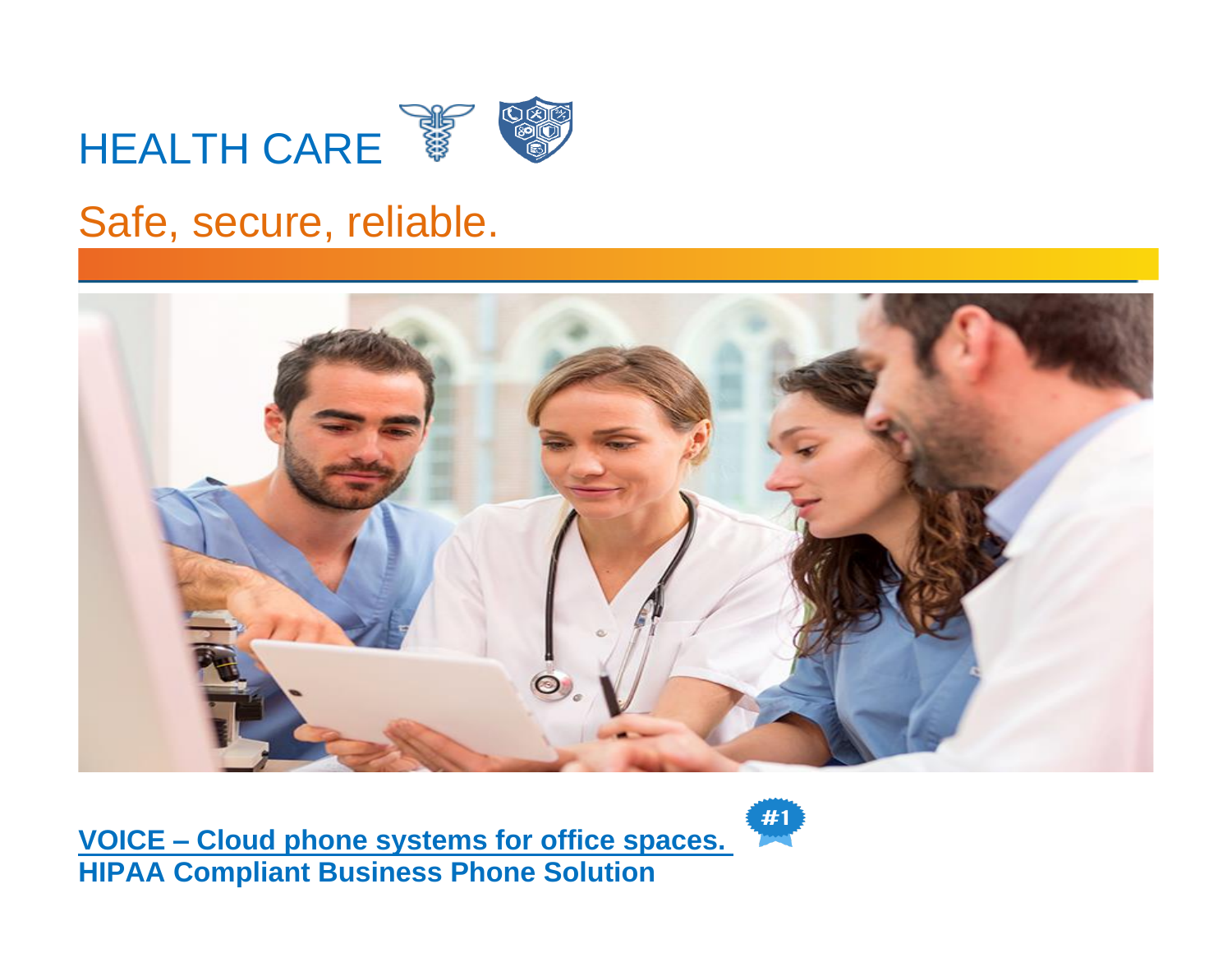# **HEALTH CARE**



## Safe, secure, reliable.



**VOICE – Cloud [phone systems for office spaces.](http://www.norstartelecom.com/voice/unified-communications.html) HIPAA Compliant Business Phone Solution**

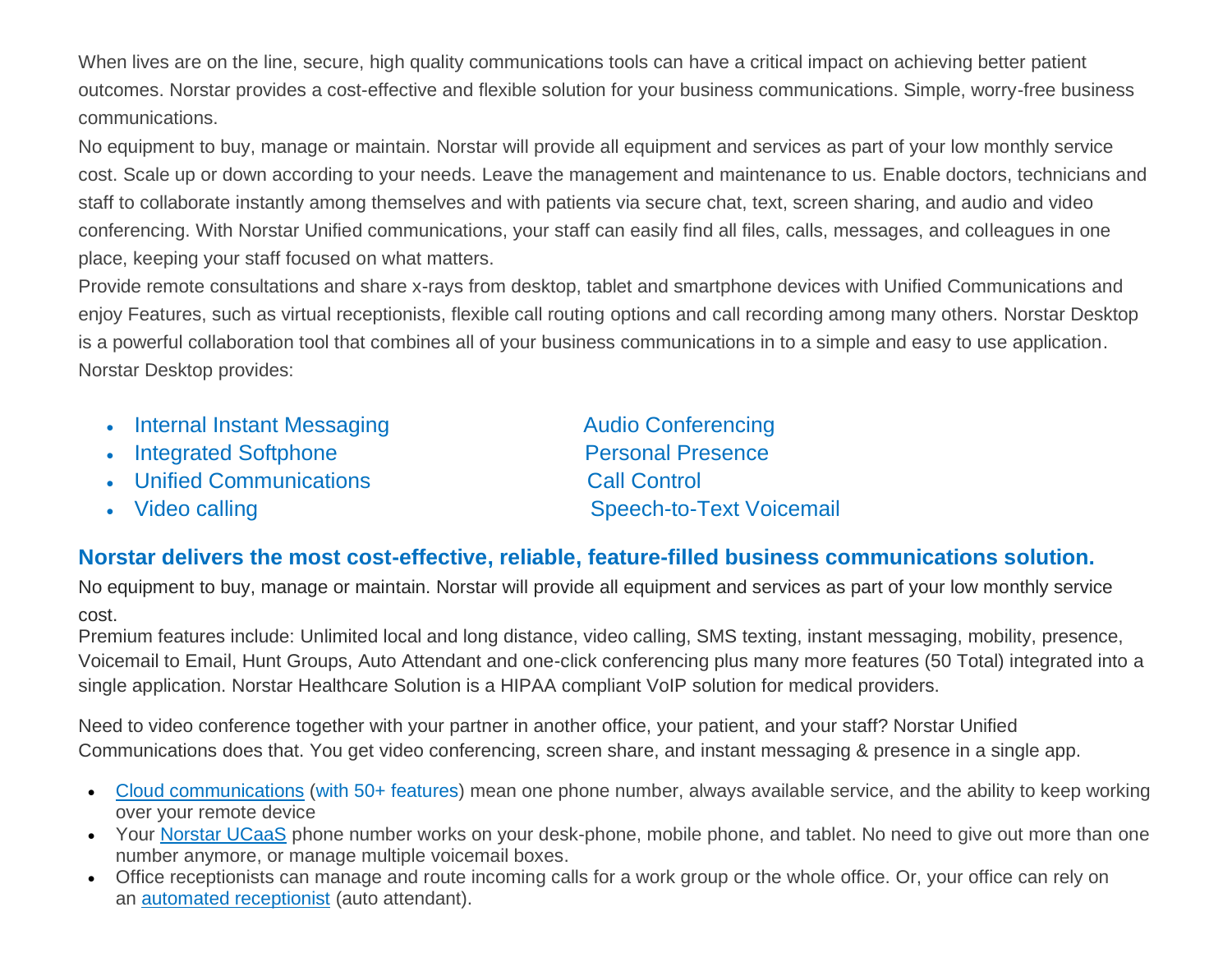When lives are on the line, secure, high quality communications tools can have a critical impact on achieving better patient outcomes. Norstar provides a cost-effective and flexible solution for your business communications. Simple, worry-free business communications.

No equipment to buy, manage or maintain. Norstar will provide all equipment and services as part of your low monthly service cost. Scale up or down according to your needs. Leave the management and maintenance to us. Enable doctors, technicians and staff to collaborate instantly among themselves and with patients via secure chat, text, screen sharing, and audio and video conferencing. With Norstar Unified communications, your staff can easily find all files, calls, messages, and colleagues in one place, keeping your staff focused on what matters.

Provide remote consultations and share x-rays from desktop, tablet and smartphone devices with Unified Communications and enjoy Features, such as virtual receptionists, flexible call routing options and call recording among many others. Norstar Desktop is a powerful collaboration tool that combines all of your business communications in to a simple and easy to use application. Norstar Desktop provides:

- Internal Instant Messaging The Audio Conferencing
- Integrated Softphone Personal Presence
- Unified Communications Call Control
- 

• Video calling Speech-to-Text Voicemail

#### **Norstar delivers the most cost-effective, reliable, feature-filled business communications solution.**

No equipment to buy, manage or maintain. Norstar will provide all equipment and services as part of your low monthly service cost.

Premium features include: Unlimited local and long distance, video calling, SMS texting, instant messaging, mobility, presence, Voicemail to Email, Hunt Groups, Auto Attendant and one-click conferencing plus many more features (50 Total) integrated into a single application. Norstar Healthcare Solution is a HIPAA compliant VoIP solution for medical providers.

Need to video conference together with your partner in another office, your patient, and your staff? Norstar Unified Communications does that. You get video conferencing, screen share, and instant messaging & presence in a single app.

- [Cloud communications](https://www.norstartelecom.com/voice/unified-communications/) (with 50+ features) mean one phone number, always available service, and the ability to keep working over your remote device
- Your [Norstar](https://www.norstartelecom.com/voice/unified-communications/) UCaaS phone number works on your desk-phone, mobile phone, and tablet. No need to give out more than one number anymore, or manage multiple voicemail boxes.
- Office receptionists can manage and route incoming calls for a work group or the whole office. Or, your office can rely on an [automated receptionist](https://www.norstartelecom.com/voice/hosted-pbx/features/) (auto attendant).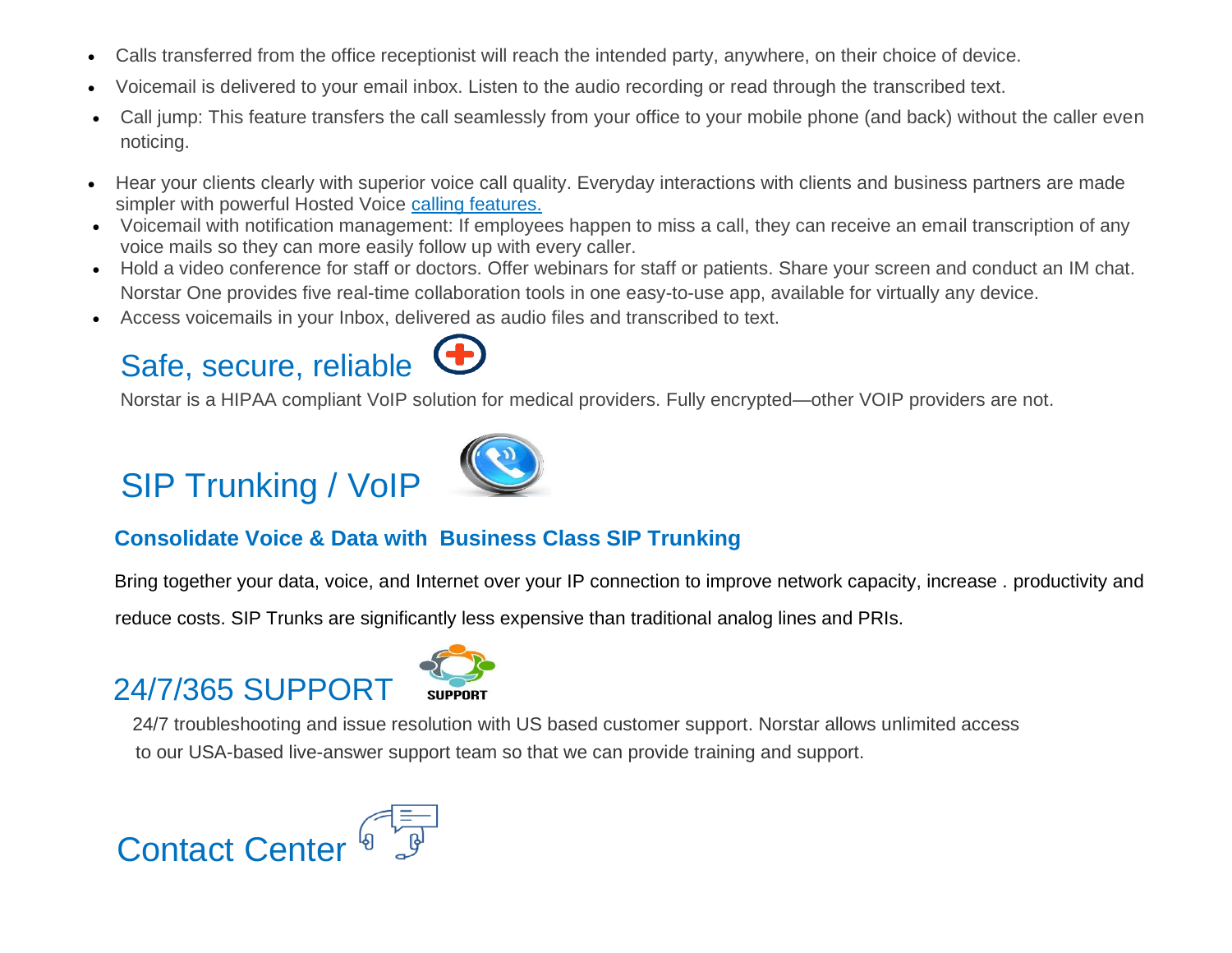- Calls transferred from the office receptionist will reach the intended party, anywhere, on their choice of device.
- Voicemail is delivered to your email inbox. Listen to the audio recording or read through the transcribed text.
- Call jump: This feature transfers the call seamlessly from your office to your mobile phone (and back) without the caller even noticing.
- Hear your clients clearly with superior voice call quality. Everyday interactions with clients and business partners are made simpler with powerful Hosted Voice [calling features.](https://www.norstartelecom.com/voice/hosted-pbx/features/)
- Voicemail with notification management: If employees happen to miss a call, they can receive an email transcription of any voice mails so they can more easily follow up with every caller.
- Hold a video conference for staff or doctors. Offer webinars for staff or patients. Share your screen and conduct an IM chat. Norstar One provides five real-time collaboration tools in one easy-to-use app, available for virtually any device.
- Access voicemails in your Inbox, delivered as audio files and transcribed to text.

## Safe, secure, reliable

Norstar is a HIPAA compliant VoIP solution for medical providers. Fully encrypted—other VOIP providers are not.

## SIP Trunking / VoIP



### **Consolidate Voice & Data with Business Class SIP Trunking**

Bring together your data, voice, and Internet over your IP connection to improve network capacity, increase . productivity and

reduce costs. SIP Trunks are significantly less expensive than traditional analog lines and PRIs.

## 24/7/365 SUPPORT



 24/7 troubleshooting and issue resolution with US based customer support. Norstar allows unlimited access to our USA-based live-answer support team so that we can provide training and support.

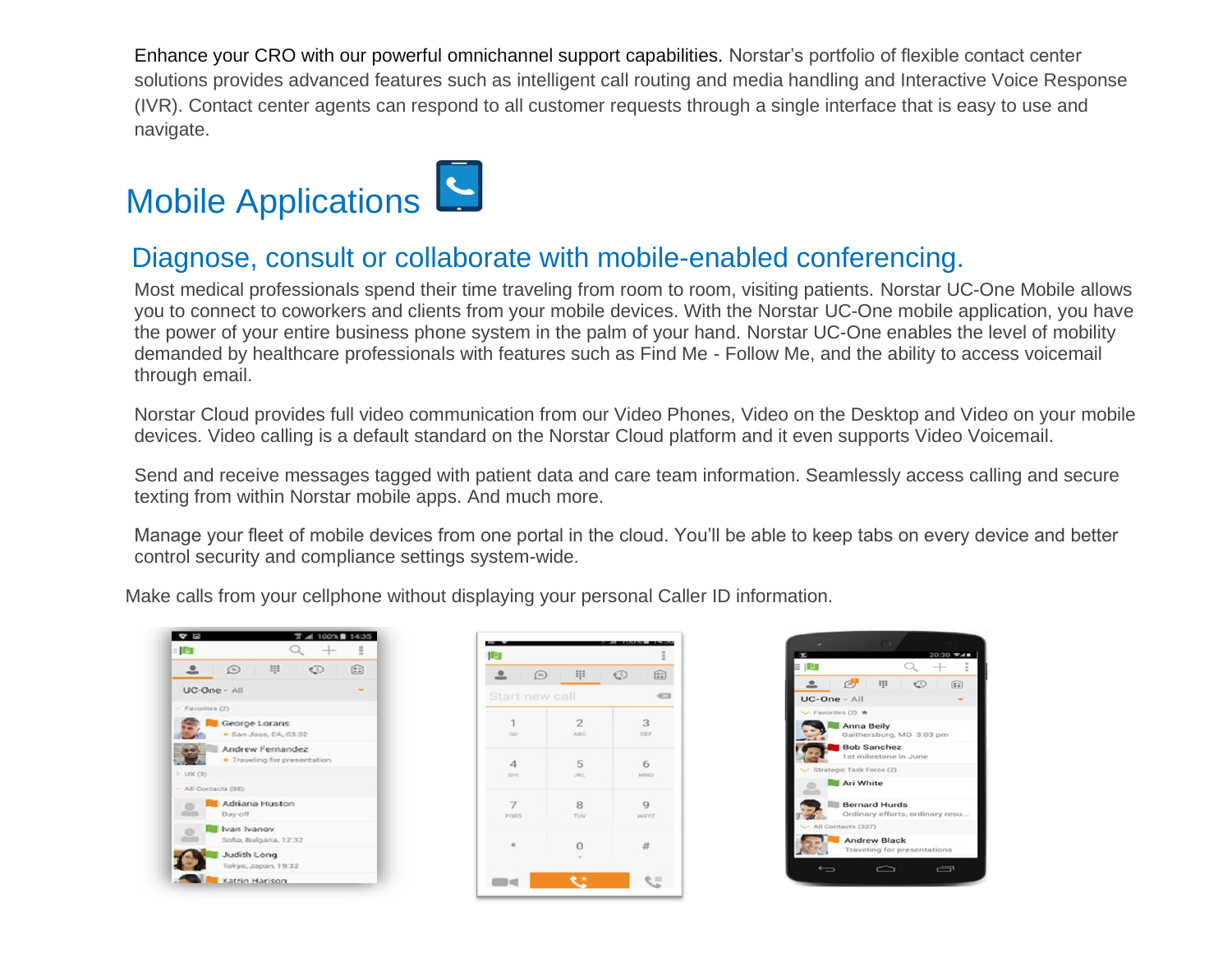Enhance your CRO with our powerful omnichannel support capabilities. Norstar's portfolio of flexible contact center solutions provides advanced features such as intelligent call routing and media handling and Interactive Voice Response (IVR). Contact center agents can respond to all customer requests through a single interface that is easy to use and navigate.

## Mobile Applications

### Diagnose, consult or collaborate with mobile-enabled conferencing.

Most medical professionals spend their time traveling from room to room, visiting patients. Norstar UC-One Mobile allows you to connect to coworkers and clients from your mobile devices. With the Norstar UC-One mobile application, you have the power of your entire business phone system in the palm of your hand. Norstar UC-One enables the level of mobility demanded by healthcare professionals with features such as Find Me - Follow Me, and the ability to access voicemail through email.

Norstar Cloud provides full video communication from our Video Phones, Video on the Desktop and Video on your mobile devices. Video calling is a default standard on the Norstar Cloud platform and it even supports Video Voicemail.

Send and receive messages tagged with patient data and care team information. Seamlessly access calling and secure texting from within Norstar mobile apps. And much more.

Manage your fleet of mobile devices from one portal in the cloud. You'll be able to keep tabs on every device and better control security and compliance settings system-wide.

Make calls from your cellphone without displaying your personal Caller ID information.



| <b>ID</b>                  |                              | Ë                      |
|----------------------------|------------------------------|------------------------|
| $\bigcirc$<br>으<br>٠       | ₩                            | $\mathbb{C}$<br>$\Xi$  |
| Start new call<br>C3       |                              |                        |
| $\mathbf{1}$<br><b>Q.O</b> | $\overline{2}$<br><b>ABC</b> | 3<br>DEF               |
| $\Delta$<br>GHI            | 5<br><b>JBCL</b>             | 6<br>MNO               |
| $\overline{7}$<br>PORS     | 8<br>TUV                     | $\overline{Q}$<br>WXYZ |
| $\frac{1}{2}$              | $\Omega$<br>٠                | #                      |
|                            | . .                          |                        |

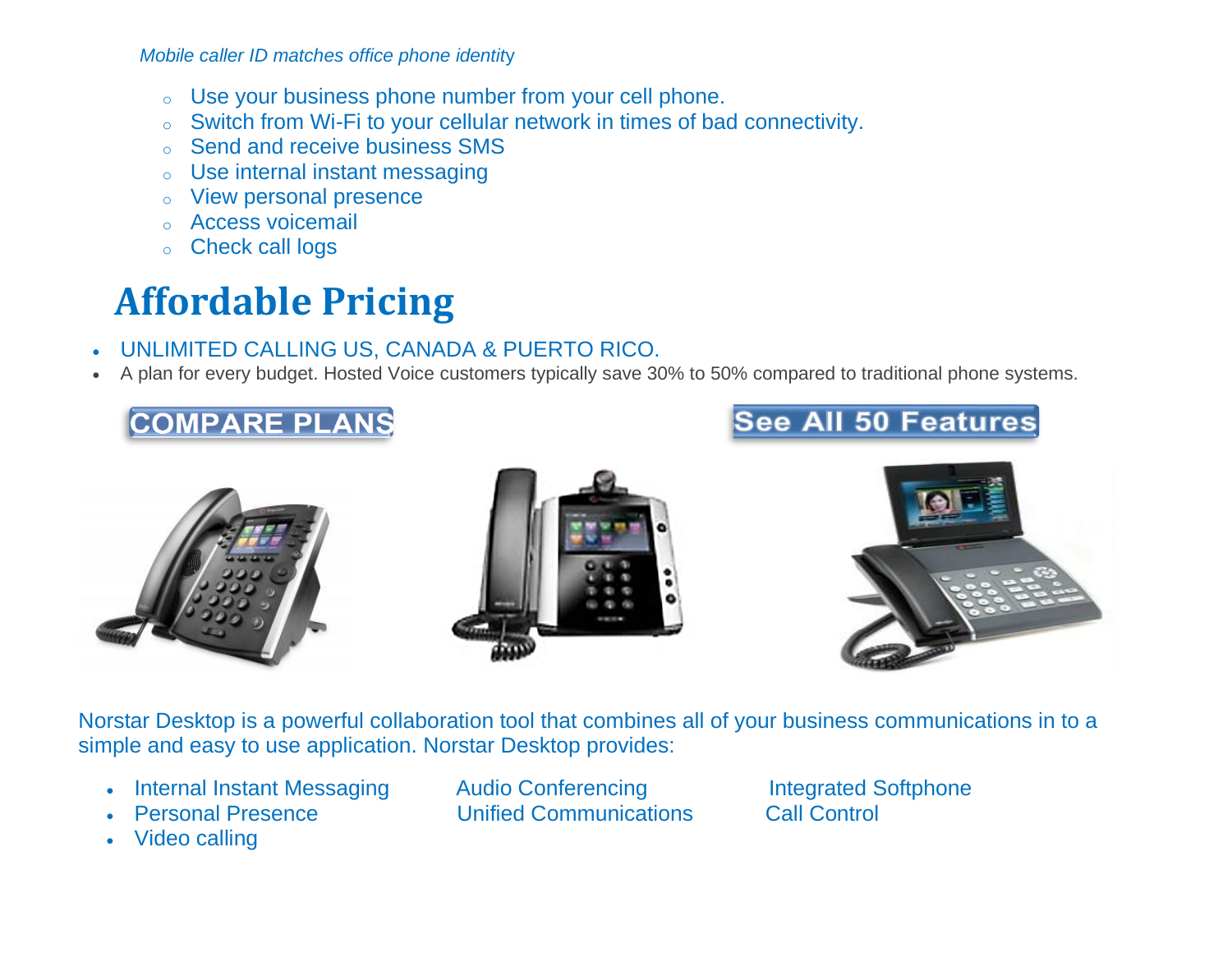*Mobile caller ID matches office phone identit*y

- o Use your business phone number from your cell phone.
- o Switch from Wi-Fi to your cellular network in times of bad connectivity.
- o Send and receive business SMS
- Use internal instant messaging
- o View personal presence
- Access voicemail
- o Check call logs

## **Affordable Pricing**

### • UNLIMITED CALLING US, CANADA & PUERTO RICO.

• A plan for every budget. Hosted Voice customers typically save 30% to 50% compared to traditional phone systems.

### **COMPARE PLANS**









Norstar Desktop is a powerful collaboration tool that combines all of your business communications in to a simple and easy to use application. Norstar Desktop provides:

- **Internal Instant Messaging Audio Conferencing Conferencial Integrated Softphone**
- 
- Video calling
- Personal Presence Unified Communications Call Control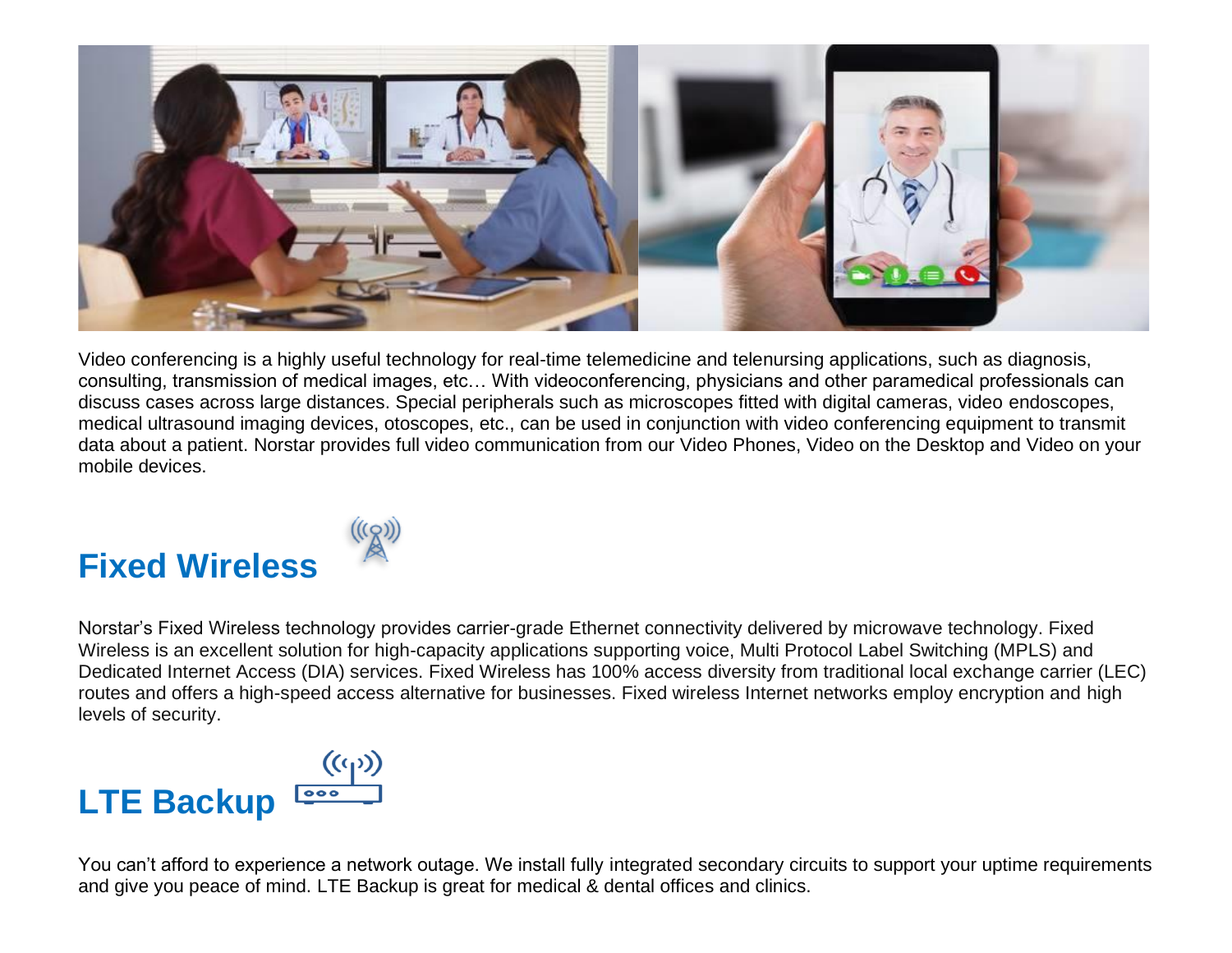

Video conferencing is a highly useful technology for real-time telemedicine and telenursing applications, such as diagnosis, consulting, transmission of medical images, etc… With videoconferencing, physicians and other paramedical professionals can discuss cases across large distances. Special peripherals such as microscopes fitted with digital cameras, video endoscopes, medical ultrasound imaging devices, otoscopes, etc., can be used in conjunction with video conferencing equipment to transmit data about a patient. Norstar provides full video communication from our Video Phones, Video on the Desktop and Video on your mobile devices.

## **Fixed Wireless**



Norstar's Fixed Wireless technology provides carrier-grade Ethernet connectivity delivered by microwave technology. Fixed Wireless is an excellent solution for high-capacity applications supporting voice, Multi Protocol Label Switching (MPLS) and Dedicated Internet Access (DIA) services. Fixed Wireless has 100% access diversity from traditional local exchange carrier (LEC) routes and offers a high-speed access alternative for businesses. Fixed wireless Internet networks employ encryption and high levels of security.

# **LTE Backup**

You can't afford to experience a network outage. We install fully integrated secondary circuits to support your uptime requirements and give you peace of mind. LTE Backup is great for medical & dental offices and clinics.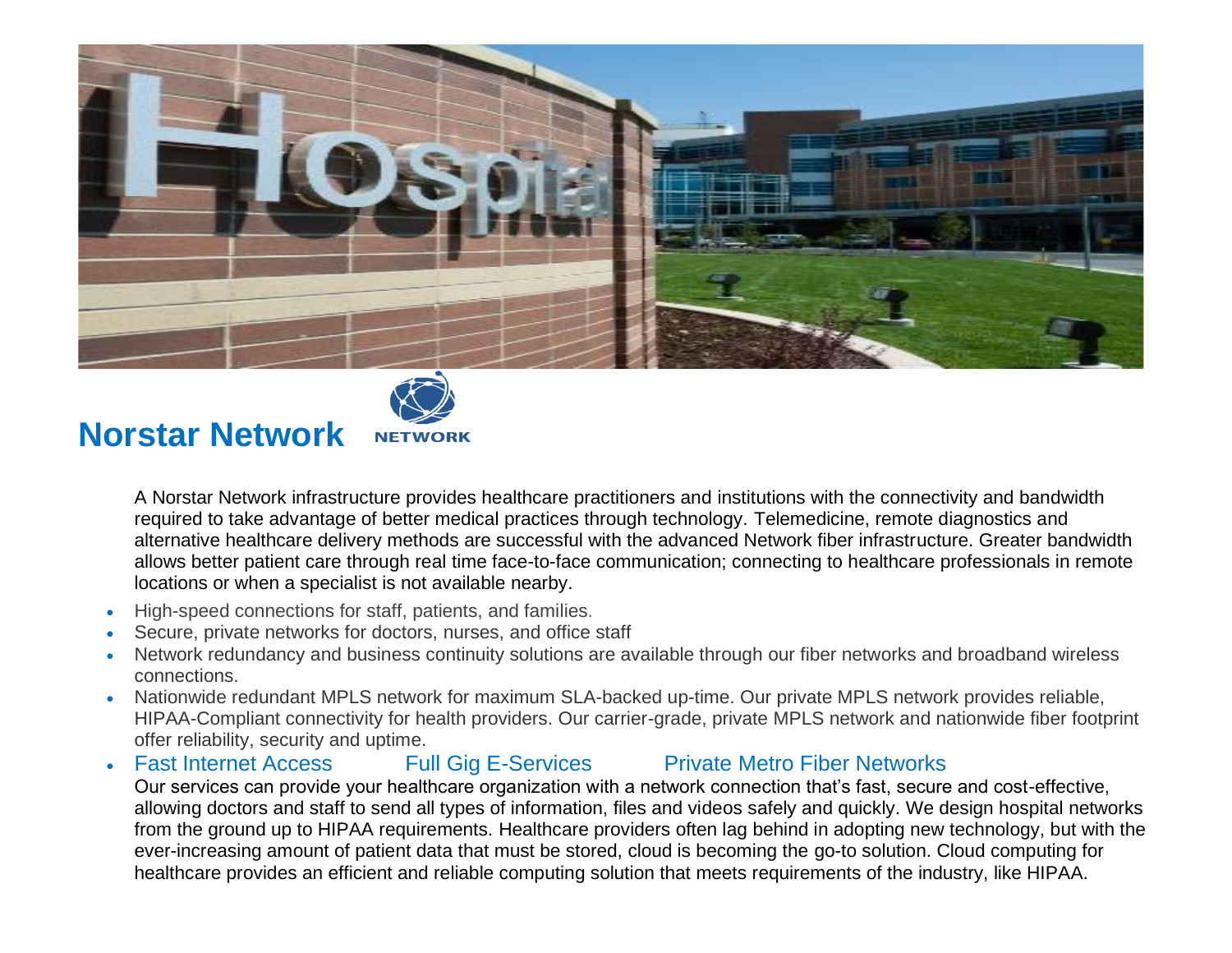



### **Norstar Network**

A Norstar Network infrastructure provides healthcare practitioners and institutions with the connectivity and bandwidth required to take advantage of better medical practices through technology. Telemedicine, remote diagnostics and alternative healthcare delivery methods are successful with the advanced Network fiber infrastructure. Greater bandwidth allows better patient care through real time face-to-face communication; connecting to healthcare professionals in remote locations or when a specialist is not available nearby.

- High-speed connections for staff, patients, and families.
- Secure, private networks for doctors, nurses, and office staff
- Network redundancy and business continuity solutions are available through our fiber networks and broadband wireless connections.
- Nationwide redundant MPLS network for maximum SLA-backed up-time. Our private MPLS network provides reliable, HIPAA-Compliant connectivity for health providers. Our carrier-grade, private MPLS network and nationwide fiber footprint offer reliability, security and uptime.

#### • Fast Internet Access Full Gig E-Services Private Metro Fiber Networks Our services can provide your healthcare organization with a network connection that's fast, secure and cost-effective, allowing doctors and staff to send all types of information, files and videos safely and quickly. We design hospital networks from the ground up to HIPAA requirements. Healthcare providers often lag behind in adopting new technology, but with the ever-increasing amount of patient data that must be stored, cloud is becoming the go-to solution. Cloud computing for healthcare provides an efficient and reliable computing solution that meets requirements of the industry, like HIPAA.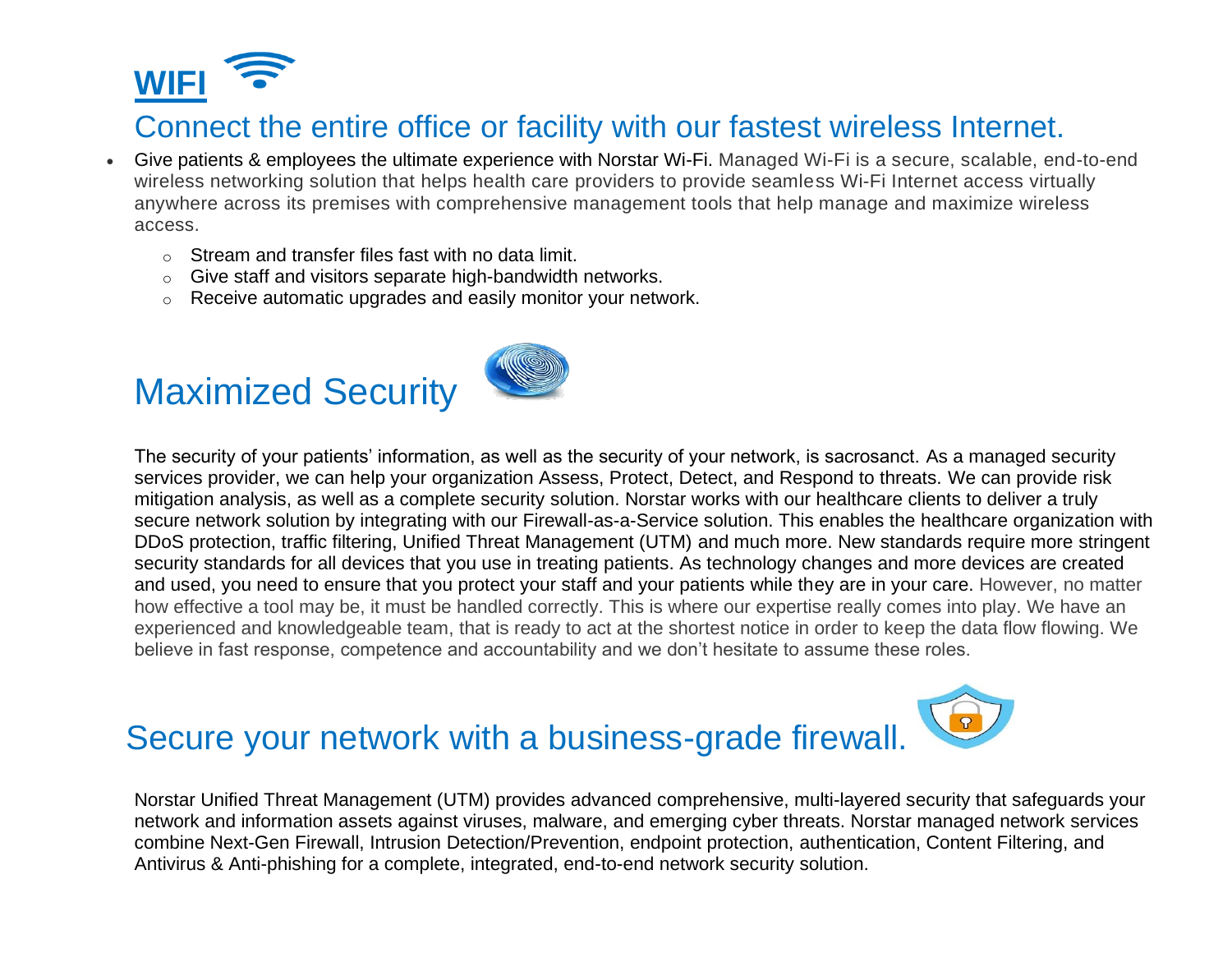

### Connect the entire office or facility with our fastest wireless Internet.

- Give patients & employees the ultimate experience with Norstar Wi-Fi. Managed Wi-Fi is a secure, scalable, end-to-end wireless networking solution that helps health care providers to provide seamless Wi-Fi Internet access virtually anywhere across its premises with comprehensive management tools that help manage and maximize wireless access.
	- o Stream and transfer files fast with no data limit.
	- o Give staff and visitors separate high-bandwidth networks.
	- o Receive automatic upgrades and easily monitor your network.

## Maximized Security



The security of your patients' information, as well as the security of your network, is sacrosanct. As a managed security services provider, we can help your organization Assess, Protect, Detect, and Respond to threats. We can provide risk mitigation analysis, as well as a complete security solution. Norstar works with our healthcare clients to deliver a truly secure network solution by integrating with our Firewall-as-a-Service solution. This enables the healthcare organization with DDoS protection, traffic filtering, Unified Threat Management (UTM) and much more. New standards require more stringent security standards for all devices that you use in treating patients. As technology changes and more devices are created and used, you need to ensure that you protect your staff and your patients while they are in your care. However, no matter how effective a tool may be, it must be handled correctly. This is where our expertise really comes into play. We have an experienced and knowledgeable team, that is ready to act at the shortest notice in order to keep the data flow flowing. We believe in fast response, competence and accountability and we don't hesitate to assume these roles.

## Secure your network with a business-grade firewall.

Norstar Unified Threat Management (UTM) provides advanced comprehensive, multi-layered security that safeguards your network and information assets against viruses, malware, and emerging cyber threats. Norstar managed network services combine Next-Gen Firewall, Intrusion Detection/Prevention, endpoint protection, authentication, Content Filtering, and Antivirus & Anti-phishing for a complete, integrated, end-to-end network security solution.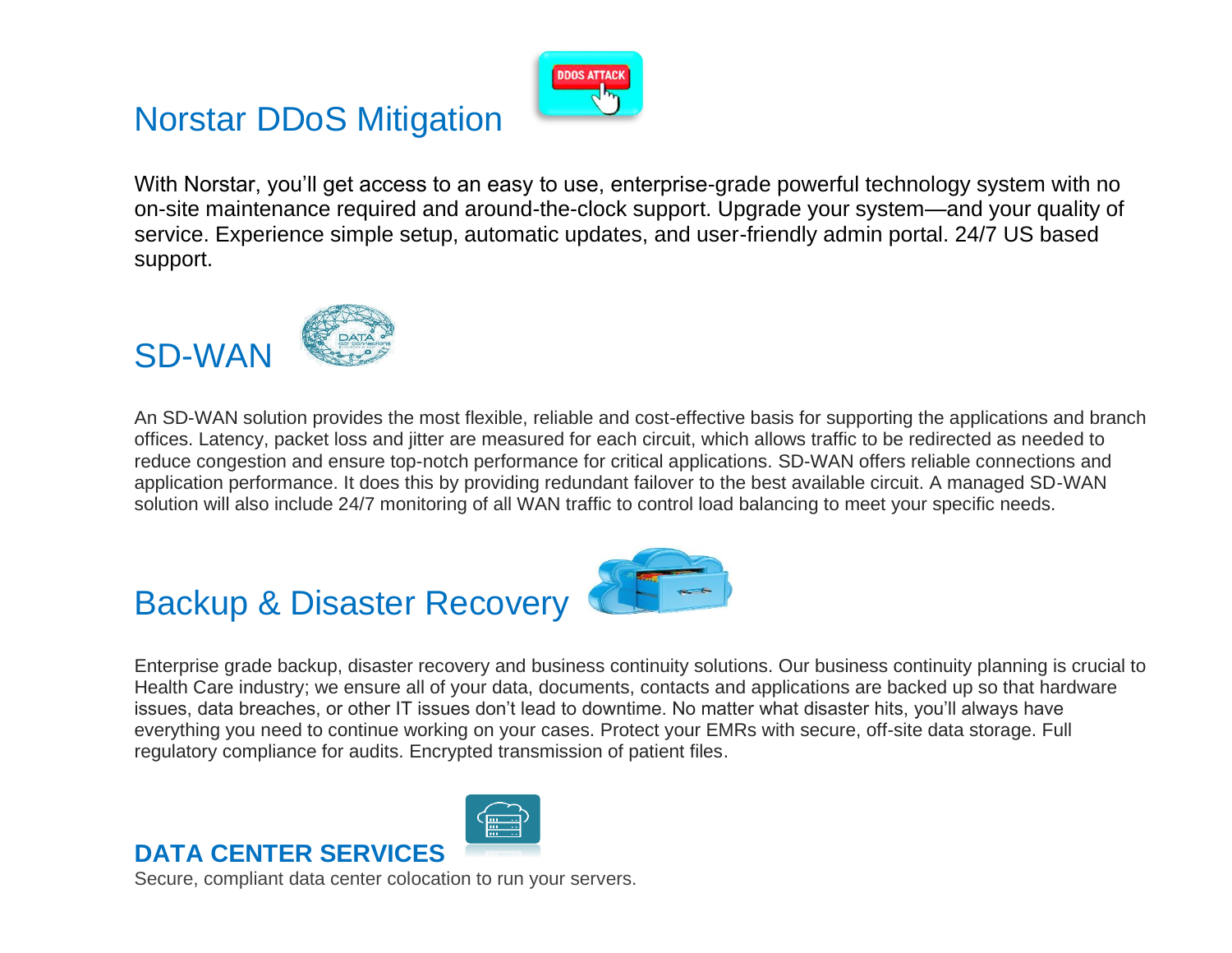## Norstar DDoS Mitigation



With Norstar, you'll get access to an easy to use, enterprise-grade powerful technology system with no on-site maintenance required and around-the-clock support. Upgrade your system—and your quality of service. Experience simple setup, automatic updates, and user-friendly admin portal. 24/7 US based support.

### SD-WAN



An SD-WAN solution provides the most flexible, reliable and cost-effective basis for supporting the applications and branch offices. Latency, packet loss and jitter are measured for each circuit, which allows traffic to be redirected as needed to reduce congestion and ensure top-notch performance for critical applications. SD-WAN offers reliable connections and application performance. It does this by providing redundant failover to the best available circuit. A managed SD-WAN solution will also include 24/7 monitoring of all WAN traffic to control load balancing to meet your specific needs.

## Backup & Disaster Recovery



Enterprise grade backup, disaster recovery and business continuity solutions. Our business continuity planning is crucial to Health Care industry; we ensure all of your data, documents, contacts and applications are backed up so that hardware issues, data breaches, or other IT issues don't lead to downtime. No matter what disaster hits, you'll always have everything you need to continue working on your cases. Protect your EMRs with secure, off-site data storage. Full regulatory compliance for audits. Encrypted transmission of patient files.

### **DATA CENTER SERVICES**

Secure, compliant data center colocation to run your servers.